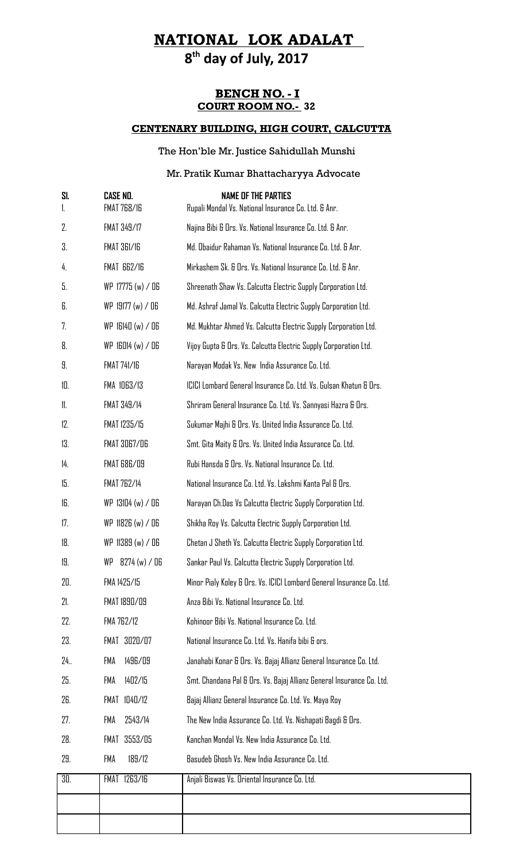## **8 th day of July, 2017**

### **BENCH NO. - I COURT ROOM NO.- 32**

### **CENTENARY BUILDING, HIGH COURT, CALCUTTA**

### The Hon'ble Mr. Justice Sahidullah Munshi

### Mr. Pratik Kumar Bhattacharyya Advocate

| <b>FMAT 768/16</b>  | <b>NAME OF THE PARTIES</b><br>Rupali Mondal Vs. National Insurance Co. Ltd. & Anr. |
|---------------------|------------------------------------------------------------------------------------|
| FMAT 349/17         | Najina Bibi & Ors. Vs. National Insurance Co. Ltd. & Anr.                          |
| FMAT 361/16         | Md. Obaidur Rahaman Vs. National Insurance Co. Ltd. & Anr.                         |
| FMAT 662/16         | Mirkashem Sk. & Ors. Vs. National Insurance Co. Ltd. & Anr.                        |
| WP 17775 (w) / DG   | Shreenath Shaw Vs. Calcutta Electric Supply Corporation Ltd.                       |
| $WP$ 19177 (w) / 06 | Md. Ashraf Jamal Vs. Calcutta Electric Supply Corporation Ltd.                     |
| $WP$ 16140 (w) / 06 | Md. Mukhtar Ahmed Vs. Calcutta Electric Supply Corporation Ltd.                    |
| $WP$ 16014 (w) / 06 | Vijoy Gupta & Ors. Vs. Calcutta Electric Supply Corporation Ltd.                   |
| <b>FMAT 741/16</b>  | Narayan Modak Vs. New India Assurance Co. Ltd.                                     |
| FMA 1063/13         | ICICI Lombard General Insurance Co. Ltd. Vs. Gulsan Khatun & Ors.                  |
| FMAT 349/14         | Shriram General Insurance Co. Ltd. Vs. Sannyasi Hazra & Ors.                       |
| FMAT 1235/15        | Sukumar Majhi & Ors. Vs. United India Assurance Co. Ltd.                           |
| FMAT 3067/06        | Smt. Gita Maity & Ors. Vs. United India Assurance Co. Ltd.                         |
| FMAT 686/09         | Rubi Hansda & Ors. Vs. National Insurance Co. Ltd.                                 |
| <b>FMAT 762/14</b>  | National Insurance Co. Ltd. Vs. Lakshmi Kanta Pal & Ors.                           |
| WP 13104 (w) / 06   | Narayan Ch.Das Vs Calcutta Electric Supply Corporation Ltd.                        |
| WP 11826 (w) / 06   | Shikha Roy Vs. Calcutta Electric Supply Corporation Ltd.                           |
| WP 11389 (w) / DG   | Chetan J Sheth Vs. Calcutta Electric Supply Corporation Ltd.                       |
| 8274 (w) / D6<br>WP | Sankar Paul Vs. Calcutta Electric Supply Corporation Ltd.                          |
| FMA 1425/15         | Minor Pialy Koley & Ors. Vs. ICICI Lombard General Insurance Co. Ltd.              |
| FMAT 1890/09        | Anza Bibi Vs. National Insurance Co. Ltd.                                          |
| FMA 762/12          | Kohinoor Bibi Vs. National Insurance Co. Ltd.                                      |
| FMAT 3020/07        | National Insurance Co. Ltd. Vs. Hanifa bibi & ors.                                 |
| 1496/09<br>FMA      | Janahabi Konar & Ors. Vs. Bajaj Allianz General Insurance Co. Ltd.                 |
| 1402/15<br>FMA      | Smt. Chandana Pal & Ors. Vs. Bajaj Allianz General Insurance Co. Ltd.              |
| FMAT 1040/12        | Bajaj Allianz General Insurance Co. Ltd. Vs. Maya Roy                              |
| FMA<br>2543/14      | The New India Assurance Co. Ltd. Vs. Nishapati Bagdi & Ors.                        |
| 3553/05<br>FMAT     | Kanchan Mondal Vs. New India Assurance Co. Ltd.                                    |
| FMA<br>189/12       | Basudeb Ghosh Vs. New India Assurance Co. Ltd.                                     |
| FMAT 1263/16        | Anjali Biswas Vs. Oriental Insurance Co. Ltd.                                      |
|                     |                                                                                    |
|                     |                                                                                    |
|                     | <b>CASE ND.</b>                                                                    |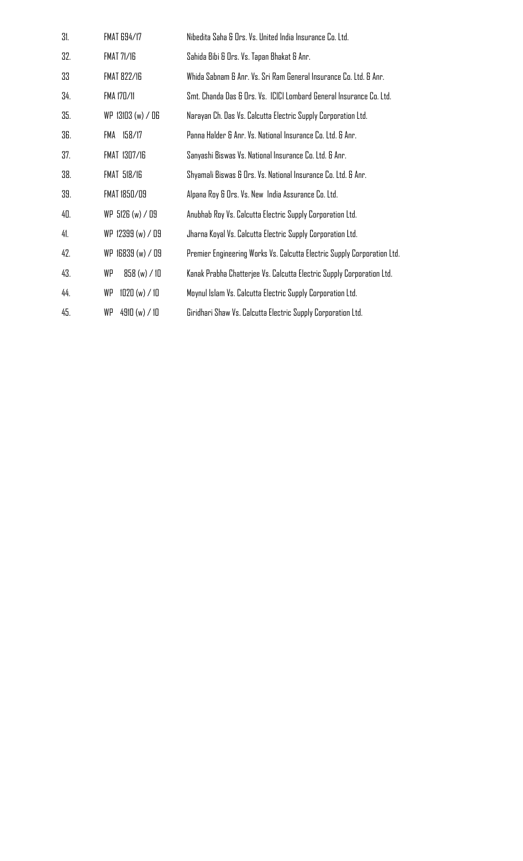| 31. | <b>FMAT 694/17</b> | Nibedita Saha & Ors. Vs. United India Insurance Co. Ltd.                |
|-----|--------------------|-------------------------------------------------------------------------|
| 32. | <b>FMAT 71/16</b>  | Sahida Bibi & Ors. Vs. Tapan Bhakat & Anr.                              |
| 33  | <b>FMAT 822/16</b> | Whida Sabnam & Anr. Vs. Sri Ram General Insurance Co. Ltd. & Anr.       |
| 34. | FMA 170/11         | Smt. Chanda Das & Ors. Vs. ICICI Lombard General Insurance Co. Ltd.     |
| 35. | WP 13103 (w) / 06  | Narayan Ch. Das Vs. Calcutta Electric Supply Corporation Ltd.           |
| 36. | FMA 158/17         | Panna Halder & Anr. Vs. National Insurance Co. Ltd. & Anr.              |
| 37. | FMAT 1307/16       | Sanyashi Biswas Vs. National Insurance Co. Ltd. & Anr.                  |
| 38. | <b>FMAT 518/16</b> | Shyamali Biswas & Ors. Vs. National Insurance Co. Ltd. & Anr.           |
| 39. | FMAT 1850/09       | Alpana Roy & Ors. Vs. New India Assurance Co. Ltd.                      |
| 40. | WP 5126 (w) / 09   | Anubhab Roy Vs. Calcutta Electric Supply Corporation Ltd.               |
| 41. | WP 12399 (w) / 09  | Jharna Koyal Vs. Calcutta Electric Supply Corporation Ltd.              |
| 42. | WP 16839 (w) / 09  | Premier Engineering Works Vs. Calcutta Electric Supply Corporation Ltd. |
| 43. | WP<br>858(w) / 10  | Kanak Prabha Chatterjee Vs. Calcutta Electric Supply Corporation Ltd.   |
| 44. | WP<br>1020(w) / 10 | Moynul Islam Vs. Calcutta Electric Supply Corporation Ltd.              |
| 45. | WP<br>4910(w) / 10 | Giridhari Shaw Vs. Calcutta Electric Supply Corporation Ltd.            |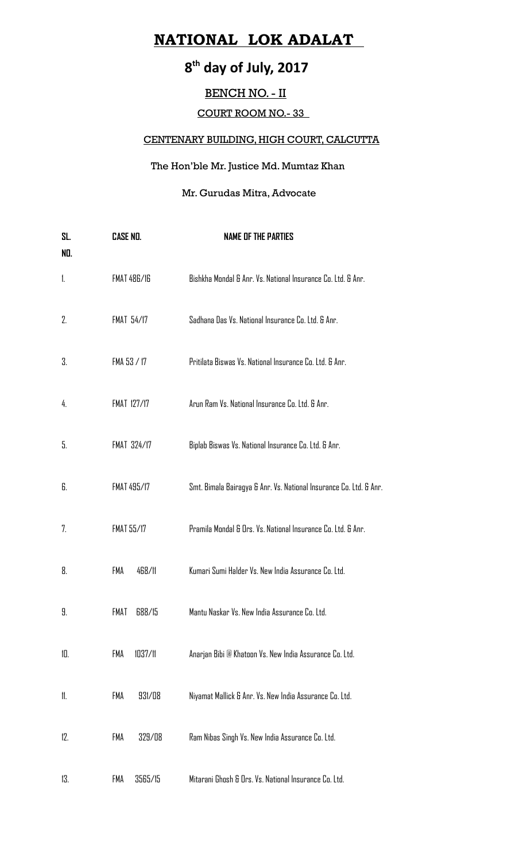## **8 th day of July, 2017**

### BENCH NO. - II

### COURT ROOM NO.- 33

### CENTENARY BUILDING, HIGH COURT, CALCUTTA

### The Hon'ble Mr. Justice Md. Mumtaz Khan

### Mr. Gurudas Mitra, Advocate

| SL.<br>NO. | <b>CASE NO.</b>    | <b>NAME OF THE PARTIES</b>                                         |
|------------|--------------------|--------------------------------------------------------------------|
| 1.         | <b>FMAT 486/16</b> | Bishkha Mondal & Anr. Vs. National Insurance Co. Ltd. & Anr.       |
| 2.         | <b>FMAT 54/17</b>  | Sadhana Das Vs. National Insurance Co. Ltd. & Anr.                 |
| 3.         | FMA 53 / 17        | Pritilata Biswas Vs. National Insurance Co. Ltd. & Anr.            |
| 4.         | <b>FMAT 127/17</b> | Arun Ram Vs. National Insurance Co. Ltd. & Anr.                    |
| 5.         | <b>FMAT 324/17</b> | Biplab Biswas Vs. National Insurance Co. Ltd. & Anr.               |
| 6.         | FMAT 495/17        | Smt. Bimala Bairagya & Anr. Vs. National Insurance Co. Ltd. & Anr. |
| 7.         | <b>FMAT 55/17</b>  | Pramila Mondal & Ors. Vs. National Insurance Co. Ltd. & Anr.       |
| 8.         | FMA<br>468/11      | Kumari Sumi Halder Vs. New India Assurance Co. Ltd.                |
| 9.         | FMAT<br>688/15     | Mantu Naskar Vs. New India Assurance Co. Ltd.                      |
| 10.        | FMA<br>1037/11     | Anarjan Bibi @ Khatoon Vs. New India Assurance Co. Ltd.            |
| 11.        | FMA<br>931/08      | Niyamat Mallick & Anr. Vs. New India Assurance Co. Ltd.            |
| 12.        | FMA<br>329/08      | Ram Nibas Singh Vs. New India Assurance Co. Ltd.                   |
| 13.        | 3565/15<br>FMA     | Mitarani Ghosh & Ors. Vs. National Insurance Co. Ltd.              |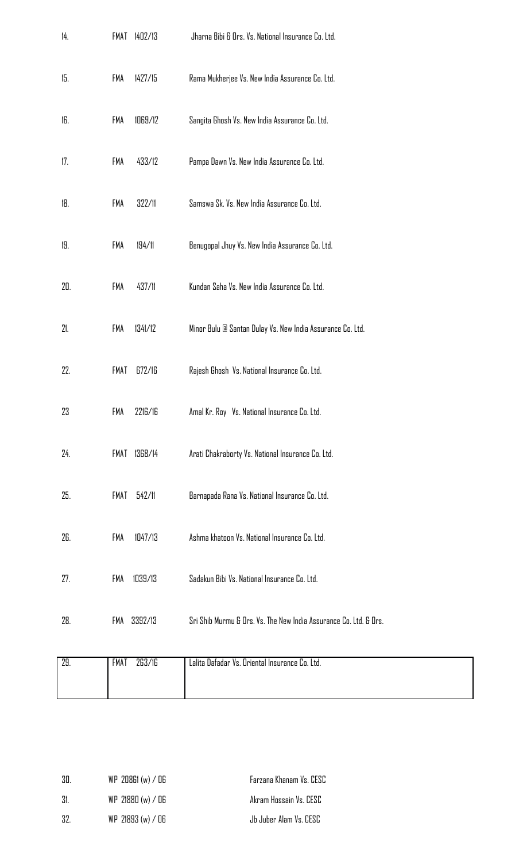| 14. | 1402/13<br>FMAT | Jharna Bibi & Ors. Vs. National Insurance Co. Ltd.                |
|-----|-----------------|-------------------------------------------------------------------|
| 15. | 1427/15<br>FMA  | Rama Mukherjee Vs. New India Assurance Co. Ltd.                   |
| 16. | 1069/12<br>FMA  | Sangita Ghosh Vs. New India Assurance Co. Ltd.                    |
| 17. | 433/12<br>FMA   | Pampa Dawn Vs. New India Assurance Co. Ltd.                       |
| 18. | FMA<br>322/11   | Samswa Sk. Vs. New India Assurance Co. Ltd.                       |
| 19. | FMA<br>194/11   | Benugopal Jhuy Vs. New India Assurance Co. Ltd.                   |
| 20. | 437/11<br>FMA   | Kundan Saha Vs. New India Assurance Co. Ltd.                      |
| 21. | 1341/12<br>FMA  | Minor Bulu @ Santan Dulay Vs. New India Assurance Co. Ltd.        |
| 22. | 672/16<br>FMAT  | Rajesh Ghosh Vs. National Insurance Co. Ltd.                      |
| 23  | FMA<br>2216/16  | Amal Kr. Roy Vs. National Insurance Co. Ltd.                      |
| 24. | FMAT 1368/14    | Arati Chakraborty Vs. National Insurance Co. Ltd.                 |
| 25. | FMAT<br>542/11  | Barnapada Rana Vs. National Insurance Co. Ltd.                    |
| 26. | 1047/13<br>FMA  | Ashma khatoon Vs. National Insurance Co. Ltd.                     |
| 27. | 1039/13<br>FMA  | Sadakun Bibi Vs. National Insurance Co. Ltd.                      |
| 28. | 3392/13<br>FMA  | Sri Shib Murmu & Ors. Vs. The New India Assurance Co. Ltd. & Ors. |
| 29. | 263/16<br>FMAT  | Lalita Dafadar Vs. Oriental Insurance Co. Ltd.                    |
|     |                 |                                                                   |

| 30 | $WP$ 20861 (w) / 06 | Farzana Khanam Vs. CESC |
|----|---------------------|-------------------------|
| 31 | $WP$ 21880 (w) / 06 | Akram Hossain Vs. CESC  |
| 32 | $WP$ 21893 (w) / 06 | Jb Juber Alam Vs. CESC  |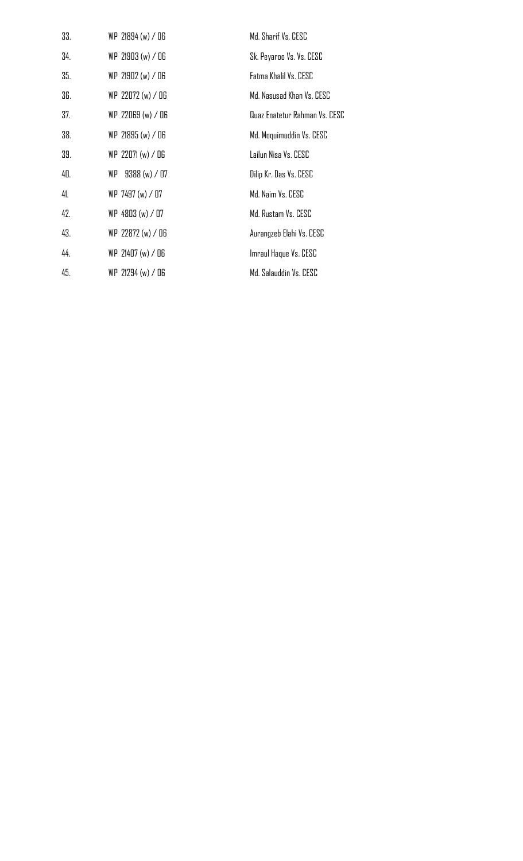| 33. | WP 21894 (w) / 06 | Md. Sharif Vs. CESC           |
|-----|-------------------|-------------------------------|
| 34. | WP 21903(w) / 06  | Sk. Peyaroo Vs. Vs. CESC      |
| 35. | WP 21902 (w) / 06 | Fatma Khalil Vs. CESC         |
| 36. | WP 22072 (w) / 06 | Md. Nasusad Khan Vs. CESC     |
| 37. | WP 22069 (w) / 06 | Quaz Enatetur Rahman Vs. CESC |
| 38. | WP 21895 (w) / O6 | Md. Moquimuddin Vs. CESC      |
| 39. | WP 22071 (w) / 06 | Lailun Nisa Vs. CESC          |
| 40. | WP 9388 (w) / 07  | Dilip Kr. Das Vs. CESC        |
| 41. | WP 7497 (w) / 07  | Md. Naim Vs. CESC             |
| 42. | WP 4803 (w) / 07  | Md. Rustam Vs. CESC           |
| 43. | WP 22872 (w) / 06 | Aurangzeb Elahi Vs. CESC      |
| 44. | WP 21407 (w) / 06 | Imraul Haque Vs. CESC         |
| 45. | WP 21294 (w) / 06 | Md. Salauddin Vs. CESC        |
|     |                   |                               |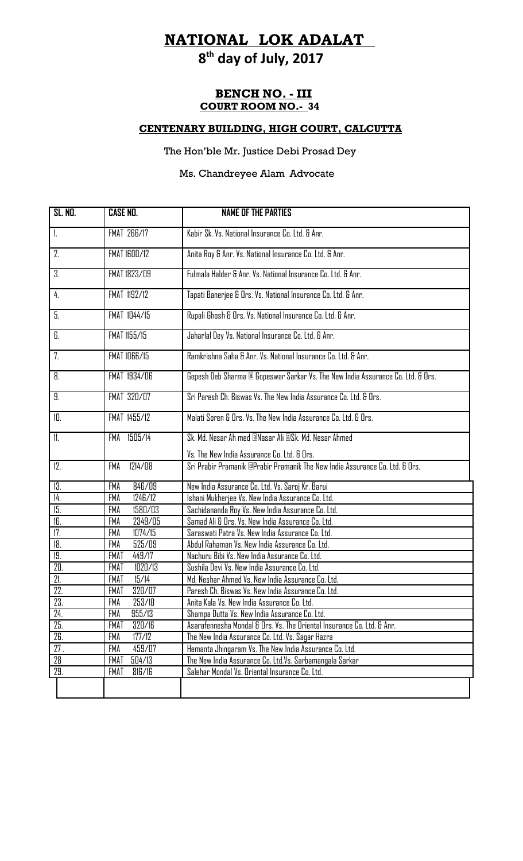# **8th day of July, 2017**

### **BENCH NO. - III COURT ROOM NO.- 34**

### **CENTENARY BUILDING, HIGH COURT, CALCUTTA**

### The Hon'ble Mr. Justice Debi Prosad Dey

### Ms. Chandreyee Alam Advocate

| <b>SL. ND.</b>    | <b>CASE NO.</b>       | <b>NAME OF THE PARTIES</b>                                                      |
|-------------------|-----------------------|---------------------------------------------------------------------------------|
| $\mathbf{1}$      | <b>FMAT 266/17</b>    | Kabir Sk. Vs. National Insurance Co. Ltd. & Anr.                                |
| 2.                | <b>FMAT 1600/12</b>   | Anita Roy & Anr. Vs. National Insurance Co. Ltd. & Anr.                         |
| З.                | FMAT 1823/09          | Fulmala Halder & Anr. Vs. National Insurance Co. Ltd. & Anr.                    |
| 4.                | FMAT 1192/12          | Tapati Banerjee & Drs. Vs. National Insurance Co. Ltd. & Anr.                   |
| 5.                | FMAT 1044/15          | Rupali Ghosh & Ors. Vs. National Insurance Co. Ltd. & Anr.                      |
| 6.                | FMAT 1155/15          | Jaharlal Dey Vs. National Insurance Co. Ltd. & Anr.                             |
| 7.                | <b>FMAT 1066/15</b>   | Ramkrishna Saha & Anr. Vs. National Insurance Co. Ltd. & Anr.                   |
| 8.                | FMAT 1934/06          | Gopesh Deb Sharma @ Gopeswar Sarkar Vs. The New India Assurance Co. Ltd. & Drs. |
| 9.                | FMAT 320/07           | Sri Paresh Ch. Biswas Vs. The New India Assurance Co. Ltd. & Ors.               |
| 10.               | FMAT 1455/12          | Malati Soren & Ors. Vs. The New India Assurance Co. Ltd. & Ors.                 |
| 11.               | FMA 1505/14           | Sk. Md. Nesar Ah med @Nasar Ali @Sk. Md. Nesar Ahmed                            |
|                   |                       | Vs. The New India Assurance Co. Ltd. & Ors.                                     |
| 12.               | 1214/08<br>FMA        | Sri Prabir Pramanik @Prabir Pramanik The New India Assurance Co. Ltd. & Ors.    |
| 13.               | 846/09<br>FMA         | New India Assurance Co. Ltd. Vs. Saroj Kr. Barui                                |
| 14.               | FMA<br>1246/12        | Ishani Mukherjee Vs. New India Assurance Co. Ltd.                               |
| 15.               | 1580/03<br><b>FMA</b> | Sachidananda Roy Vs. New India Assurance Co. Ltd.                               |
| 16.               | 2349/05<br>FMA        | Samad Ali & Ors. Vs. New India Assurance Co. Ltd.                               |
| 17.               | 1074/15<br>FMA        | Saraswati Patra Vs. New India Assurance Co. Ltd.                                |
| 18.               | 525/09<br>FMA         | Abdul Rahaman Vs. New India Assurance Co. Ltd.                                  |
| 19.               | <b>FMAT</b><br>449/17 | Nachuru Bibi Vs. New India Assurance Co. Ltd.                                   |
| 20.               | 1020/13<br>FMAT       | Sushila Devi Vs. New India Assurance Co. Ltd.                                   |
| 21.               | 15/14<br>FMAT         | Md. Neshar Ahmed Vs. New India Assurance Co. Ltd.                               |
| 22.               | <b>FMAT</b><br>320/07 | Paresh Ch. Biswas Vs. New India Assurance Co. Ltd.                              |
| 23.               | 253/10<br><b>FMA</b>  | Anita Kala Vs. New India Assurance Co. Ltd.                                     |
| 24.               | FMA<br>955/13         | Shampa Dutta Vs. New India Assurance Co. Ltd.                                   |
| $\overline{25}$ . | <b>FMAT</b><br>320/16 | Asarafennesha Mondal & Ors. Vs. The Oriental Insurance Co. Ltd. & Anr.          |
| 26.               | 177/12<br>FMA         | The New India Assurance Co. Ltd. Vs. Sagar Hazra                                |
| 27.               | FMA<br>459/07         | Hemanta Jhingaram Vs. The New India Assurance Co. Ltd.                          |
| 28                | FMAT<br>504/13        | The New India Assurance Co. Ltd.Vs. Sarbamangala Sarkar                         |
| 29.               | FMAT<br>816/16        | Salehar Mondal Vs. Oriental Insurance Co. Ltd.                                  |
|                   |                       |                                                                                 |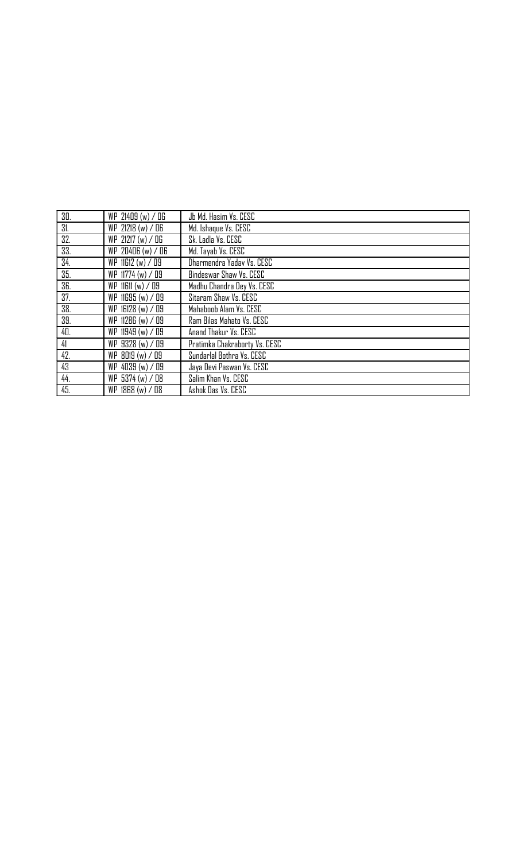| 30. | WP 21409 (w) / 06   | Jb Md. Hasim Vs. CESC         |
|-----|---------------------|-------------------------------|
| 31. | WP 21218 (w) / O6   | Md. Ishaque Vs. CESC          |
| 32. | WP 21217 (w) / 06   | Sk. Ladla Vs. CESC            |
| 33. | WP 20406 (w) / 06   | Md. Tayab Vs. CESC            |
| 34. | WP 11612 (w) / 09   | Dharmendra Yaday Vs. CESC     |
| 35. | WP 11774 (w) / 09   | Bindeswar Shaw Vs. CESC       |
| 36. | $WP$ 11611 (w) / 09 | Madhu Chandra Dey Vs. CESC    |
| 37. | WP 11695 (w) / 09   | Sitaram Shaw Vs. CESC         |
| 38. | WP 16128 (w) / 09   | Mahaboob Alam Vs. CESC        |
| 39. | WP 11286 (w) / 09   | Ram Bilas Mahato Vs. CESC     |
| 40. | WP 11949 (w) / 09   | Anand Thakur Vs. CESC         |
| 41  | WP 9328 (w) / 09    | Pratimka Chakraborty Vs. CESC |
| 42. | WP 8019 (w) / 09    | Sundarlal Bothra Vs. CESC     |
| 43  | WP 4039 (w) / 09    | Jaya Devi Paswan Vs. CESC     |
| 44. | WP 5374 (w) / 08    | Salim Khan Vs. CESC           |
| 45. | WP 1868 (w) / 08    | Ashok Das Vs. CESC            |